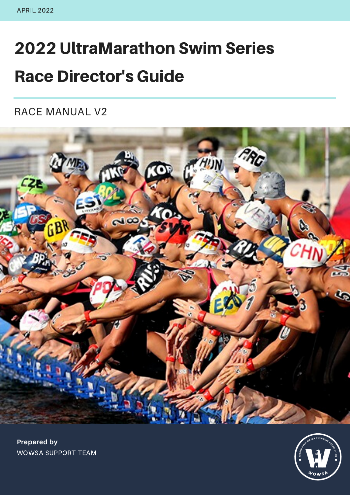# 2022 UltraMarathon Swim Series Race Director's Guide

RACE MANUAL V2



 $W$ <sub>OWS</sub>A $\rightarrow$ SEND WATER SWIMMING RISKS

**Prepared by** WOWSA SUPPORT TEAM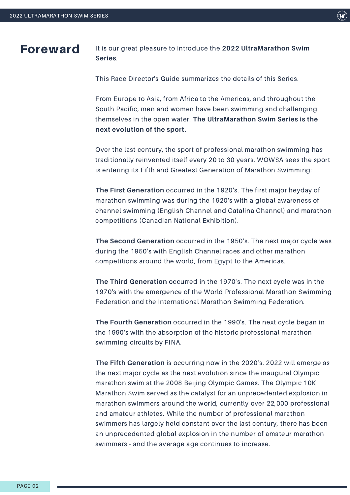Foreward It is our great pleasure to introduce the **<sup>2022</sup> UltraMarathon Swim Series**.

This Race Director's Guide summarizes the details of this Series.

From Europe to Asia, from Africa to the Americas, and throughout the South Pacific, men and women have been swimming and challenging themselves in the open water. **The UltraMarathon Swim Series is the next evolution of the sport.**

Over the last century, the sport of professional marathon swimming has traditionally reinvented itself every 20 to 30 years. WOWSA sees the sport is entering its Fifth and Greatest Generation of Marathon Swimming:

**The First Generation** occurred in the 1920's. The first major heyday of marathon swimming was during the 1920's with a global awareness of channel swimming (English Channel and Catalina Channel) and marathon competitions (Canadian National Exhibition).

**The Second Generation** occurred in the 1950's. The next major cycle was during the 1950's with English Channel races and other marathon competitions around the world, from Egypt to the Americas.

**The Third Generation** occurred in the 1970's. The next cycle was in the 1970's with the emergence of the World Professional Marathon Swimming Federation and the International Marathon Swimming Federation.

**The Fourth Generation** occurred in the 1990's. The next cycle began in the 1990's with the absorption of the historic professional marathon swimming circuits by FINA.

**The Fifth Generation** is occurring now in the 2020's. 2022 will emerge as the next major cycle as the next evolution since the inaugural Olympic marathon swim at the 2008 Beijing Olympic Games. The Olympic 10K Marathon Swim served as the catalyst for an unprecedented explosion in marathon swimmers around the world, currently over 22,000 professional and amateur athletes. While the number of professional marathon swimmers has largely held constant over the last century, there has been an unprecedented global explosion in the number of amateur marathon swimmers - and the average age continues to increase.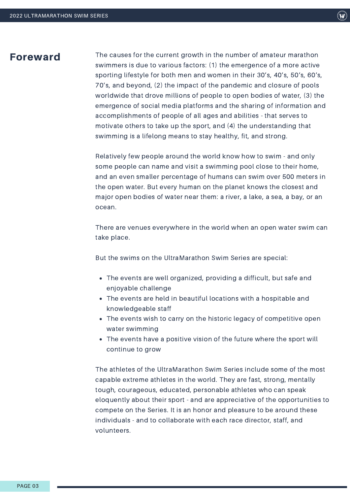### Foreward

The causes for the current growth in the number of amateur marathon swimmers is due to various factors: (1) the emergence of a more active sporting lifestyle for both men and women in their 30's, 40's, 50's, 60's, 70's, and beyond, (2) the impact of the pandemic and closure of pools worldwide that drove millions of people to open bodies of water, (3) the emergence of social media platforms and the sharing of information and accomplishments of people of all ages and abilities - that serves to motivate others to take up the sport, and (4) the understanding that swimming is a lifelong means to stay healthy, fit, and strong.

Relatively few people around the world know how to swim - and only some people can name and visit a swimming pool close to their home, and an even smaller percentage of humans can swim over 500 meters in the open water. But every human on the planet knows the closest and major open bodies of water near them: a river, a lake, a sea, a bay, or an ocean.

There are venues everywhere in the world when an open water swim can take place.

But the swims on the UltraMarathon Swim Series are special:

- The events are well organized, providing a difficult, but safe and enjoyable challenge
- The events are held in beautiful locations with a hospitable and knowledgeable staff
- The events wish to carry on the historic legacy of competitive open water swimming
- The events have a positive vision of the future where the sport will continue to grow

The athletes of the UltraMarathon Swim Series include some of the most capable extreme athletes in the world. They are fast, strong, mentally tough, courageous, educated, personable athletes who can speak eloquently about their sport - and are appreciative of the opportunities to compete on the Series. It is an honor and pleasure to be around these individuals - and to collaborate with each race director, staff, and volunteers.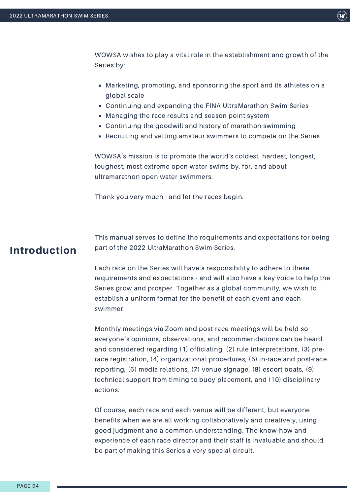$(\mathbf{w})$ 

WOWSA wishes to play a vital role in the establishment and growth of the Series by:

- Marketing, promoting, and sponsoring the sport and its athletes on a global scale
- Continuing and expanding the FINA UltraMarathon Swim Series
- Managing the race results and season point system
- Continuing the goodwill and history of marathon swimming
- Recruiting and vetting amateur swimmers to compete on the Series

WOWSA's mission is to promote the world's coldest, hardest, longest, toughest, most extreme open water swims by, for, and about ultramarathon open water swimmers.

Thank you very much - and let the races begin.

### Introduction

This manual serves to define the requirements and expectations for being part of the 2022 UltraMarathon Swim Series.

Each race on the Series will have a responsibility to adhere to these requirements and expectations - and will also have a key voice to help the Series grow and prosper. Together as a global community, we wish to establish a uniform format for the benefit of each event and each swimmer.

Monthly meetings via Zoom and post-race meetings will be held so everyone's opinions, observations, and recommendations can be heard and considered regarding (1) officiating, (2) rule interpretations, (3) prerace registration, (4) organizational procedures, (5) in-race and post-race reporting, (6) media relations, (7) venue signage, (8) escort boats, (9) technical support from timing to buoy placement, and (10) disciplinary actions.

Of course, each race and each venue will be different, but everyone benefits when we are all working collaboratively and creatively, using good judgment and a common understanding. The know-how and experience of each race director and their staff is invaluable and should be part of making this Series a very special circuit.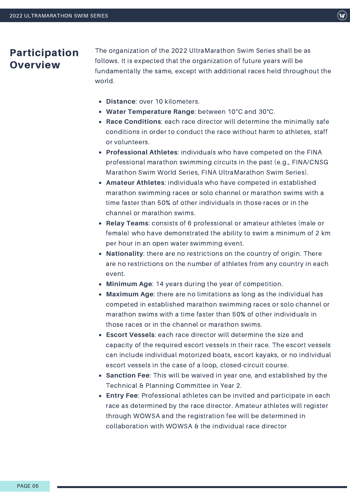### Participation **Overview**

The organization of the 2022 UltraMarathon Swim Series shall be as follows. It is expected that the organization of future years will be fundamentally the same, except with additional races held throughout the world.

- **Distance**: over 10 kilometers.
- **Water Temperature Range**: between 10°C and 30°C.
- **Race Conditions**: each race director will determine the minimally safe conditions in order to conduct the race without harm to athletes, staff or volunteers.
- **Professional Athletes**: individuals who have competed on the FINA professional marathon swimming circuits in the past (e.g., FINA/CNSG Marathon Swim World Series, FINA UltraMarathon Swim Series).
- **Amateur Athletes**: individuals who have competed in established marathon swimming races or solo channel or marathon swims with a time faster than 50% of other individuals in those races or in the channel or marathon swims.
- **Relay Teams**: consists of 6 professional or amateur athletes (male or female) who have demonstrated the ability to swim a minimum of 2 km per hour in an open water swimming event.
- **Nationality**: there are no restrictions on the country of origin. There are no restrictions on the number of athletes from any country in each event.
- **Minimum Age**: 14 years during the year of competition.
- **Maximum Age**: there are no limitations as long as the individual has competed in established marathon swimming races or solo channel or marathon swims with a time faster than 50% of other individuals in those races or in the channel or marathon swims.
- **Escort Vessels**: each race director will determine the size and capacity of the required escort vessels in their race. The escort vessels can include individual motorized boats, escort kayaks, or no individual escort vessels in the case of a loop, closed-circuit course.
- **Sanction Fee**: This will be waived in year one, and established by the Technical & Planning Committee in Year 2.
- **Entry Fee**: Professional athletes can be invited and participate in each race as determined by the race director. Amateur athletes will register through WOWSA and the registration fee will be determined in collaboration with WOWSA & the individual race director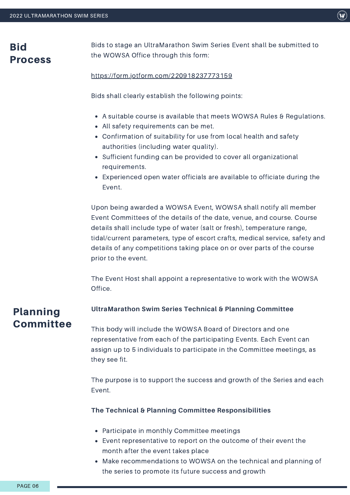### **Bid** Process

Bids to stage an UltraMarathon Swim Series Event shall be submitted to the WOWSA Office through this form:

#### <https://form.jotform.com/220918237773159>

Bids shall clearly establish the following points:

- A suitable course is available that meets WOWSA Rules & Regulations.
- All safety requirements can be met.
- Confirmation of suitability for use from local health and safety authorities (including water quality).
- Sufficient funding can be provided to cover all organizational requirements.
- Experienced open water officials are available to officiate during the Event.

Upon being awarded a WOWSA Event, WOWSA shall notify all member Event Committees of the details of the date, venue, and course. Course details shall include type of water (salt or fresh), temperature range, tidal/current parameters, type of escort crafts, medical service, safety and details of any competitions taking place on or over parts of the course prior to the event.

The Event Host shall appoint a representative to work with the WOWSA Office.

#### **UltraMarathon Swim Series Technical & Planning Committee** Planning

This body will include the WOWSA Board of Directors and one representative from each of the participating Events. Each Event can assign up to 5 individuals to participate in the Committee meetings, as they see fit.

The purpose is to support the success and growth of the Series and each Event.

#### **The Technical & Planning Committee Responsibilities**

- Participate in monthly Committee meetings
- Event representative to report on the outcome of their event the month after the event takes place
- Make recommendations to WOWSA on the technical and planning of the series to promote its future success and growth

**Committee**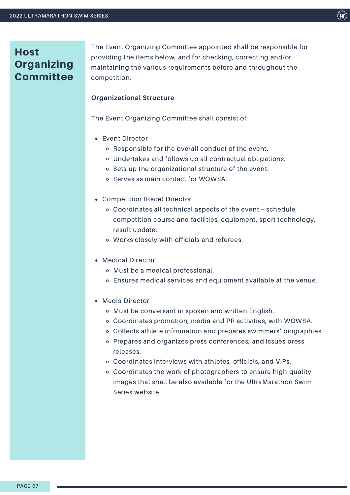### **Host Organizing Committee**

The Event Organizing Committee appointed shall be responsible for providing the items below, and for checking, correcting and/or maintaining the various requirements before and throughout the competition.

#### **Organizational Structure**

The Event Organizing Committee shall consist of:

- Event Director
	- Responsible for the overall conduct of the event.
	- Undertakes and follows up all contractual obligations.
	- o Sets up the organizational structure of the event.
	- o Serves as main contact for WOWSA.
- Competition (Race) Director
	- Coordinates all technical aspects of the event schedule, competition course and facilities, equipment, sport technology, result update.
	- Works closely with officials and referees.
- Medical Director
	- Must be a medical professional.
	- Ensures medical services and equipment available at the venue.
- Media Director
	- Must be conversant in spoken and written English.
	- Coordinates promotion, media and PR activities, with WOWSA.
	- Collects athlete information and prepares swimmers' biographies.
	- Prepares and organizes press conferences, and issues press releases.
	- Coordinates interviews with athletes, officials, and VIPs.
	- Coordinates the work of photographers to ensure high-quality images that shall be also available for the UltraMarathon Swim Series website.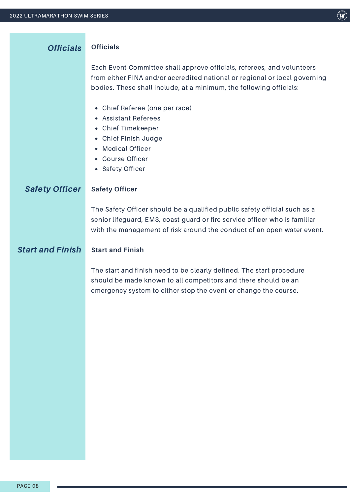| <b>Officials</b>        | <b>Officials</b>                                                                                                                                                                                                                  |
|-------------------------|-----------------------------------------------------------------------------------------------------------------------------------------------------------------------------------------------------------------------------------|
|                         | Each Event Committee shall approve officials, referees, and volunteers<br>from either FINA and/or accredited national or regional or local governing<br>bodies. These shall include, at a minimum, the following officials:       |
|                         | Chief Referee (one per race)<br><b>Assistant Referees</b><br><b>Chief Timekeeper</b><br>$\bullet$<br>Chief Finish Judge<br>$\bullet$<br><b>Medical Officer</b><br><b>Course Officer</b><br><b>Safety Officer</b><br>$\bullet$     |
| <b>Safety Officer</b>   | <b>Safety Officer</b>                                                                                                                                                                                                             |
|                         | The Safety Officer should be a qualified public safety official such as a<br>senior lifeguard, EMS, coast guard or fire service officer who is familiar<br>with the management of risk around the conduct of an open water event. |
| <b>Start and Finish</b> | <b>Start and Finish</b>                                                                                                                                                                                                           |
|                         | The start and finish need to be clearly defined. The start procedure<br>should be made known to all competitors and there should be an<br>emergency system to either stop the event or change the course.                         |
|                         |                                                                                                                                                                                                                                   |
|                         |                                                                                                                                                                                                                                   |
|                         |                                                                                                                                                                                                                                   |
|                         |                                                                                                                                                                                                                                   |
|                         |                                                                                                                                                                                                                                   |

 $\left(\mathbf{w}\right)$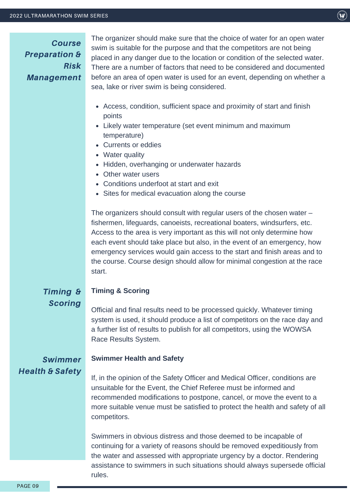Course Preparation & Risk Management

The organizer should make sure that the choice of water for an open water swim is suitable for the purpose and that the competitors are not being placed in any danger due to the location or condition of the selected water. There are a number of factors that need to be considered and documented before an area of open water is used for an event, depending on whether a sea, lake or river swim is being considered.

- Access, condition, sufficient space and proximity of start and finish points
- Likely water temperature (set event minimum and maximum temperature)
- Currents or eddies
- Water quality
- Hidden, overhanging or underwater hazards
- Other water users
- Conditions underfoot at start and exit
- Sites for medical evacuation along the course

The organizers should consult with regular users of the chosen water – fishermen, lifeguards, canoeists, recreational boaters, windsurfers, etc. Access to the area is very important as this will not only determine how each event should take place but also, in the event of an emergency, how emergency services would gain access to the start and finish areas and to the course. Course design should allow for minimal congestion at the race start.

### Timing & Scoring

#### **Timing & Scoring**

**Swimmer Health and Safety**

Official and final results need to be processed quickly. Whatever timing system is used, it should produce a list of competitors on the race day and a further list of results to publish for all competitors, using the WOWSA Race Results System.

### Swimmer Health & Safety

If, in the opinion of the Safety Officer and Medical Officer, conditions are unsuitable for the Event, the Chief Referee must be informed and recommended modifications to postpone, cancel, or move the event to a more suitable venue must be satisfied to protect the health and safety of all competitors.

Swimmers in obvious distress and those deemed to be incapable of continuing for a variety of reasons should be removed expeditiously from the water and assessed with appropriate urgency by a doctor. Rendering assistance to swimmers in such situations should always supersede official rules.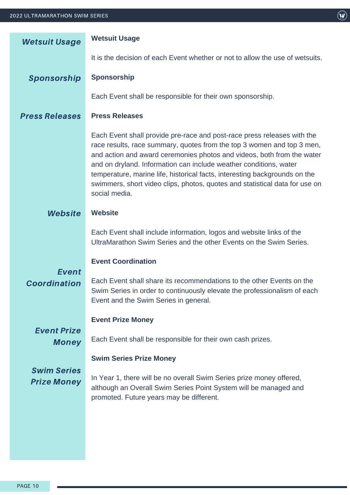| <b>Wetsuit Usage</b>                     | <b>Wetsuit Usage</b>                                                                                                                                                                                                                                                                                                                                                                                                                                                           |  |  |
|------------------------------------------|--------------------------------------------------------------------------------------------------------------------------------------------------------------------------------------------------------------------------------------------------------------------------------------------------------------------------------------------------------------------------------------------------------------------------------------------------------------------------------|--|--|
|                                          | It is the decision of each Event whether or not to allow the use of wetsuits.                                                                                                                                                                                                                                                                                                                                                                                                  |  |  |
| Sponsorship                              | Sponsorship                                                                                                                                                                                                                                                                                                                                                                                                                                                                    |  |  |
|                                          | Each Event shall be responsible for their own sponsorship.                                                                                                                                                                                                                                                                                                                                                                                                                     |  |  |
| <b>Press Releases</b>                    | <b>Press Releases</b>                                                                                                                                                                                                                                                                                                                                                                                                                                                          |  |  |
|                                          | Each Event shall provide pre-race and post-race press releases with the<br>race results, race summary, quotes from the top 3 women and top 3 men,<br>and action and award ceremonies photos and videos, both from the water<br>and on dryland. Information can include weather conditions, water<br>temperature, marine life, historical facts, interesting backgrounds on the<br>swimmers, short video clips, photos, quotes and statistical data for use on<br>social media. |  |  |
| Website                                  | <b>Website</b>                                                                                                                                                                                                                                                                                                                                                                                                                                                                 |  |  |
|                                          | Each Event shall include information, logos and website links of the<br>UltraMarathon Swim Series and the other Events on the Swim Series.                                                                                                                                                                                                                                                                                                                                     |  |  |
|                                          | <b>Event Coordination</b>                                                                                                                                                                                                                                                                                                                                                                                                                                                      |  |  |
| <b>Event</b><br>Coordination             | Each Event shall share its recommendations to the other Events on the<br>Swim Series in order to continuously elevate the professionalism of each<br>Event and the Swim Series in general.                                                                                                                                                                                                                                                                                     |  |  |
|                                          | <b>Event Prize Money</b>                                                                                                                                                                                                                                                                                                                                                                                                                                                       |  |  |
| <b>Event Prize</b><br><b>Money</b>       | Each Event shall be responsible for their own cash prizes.                                                                                                                                                                                                                                                                                                                                                                                                                     |  |  |
|                                          | <b>Swim Series Prize Money</b>                                                                                                                                                                                                                                                                                                                                                                                                                                                 |  |  |
| <b>Swim Series</b><br><b>Prize Money</b> | In Year 1, there will be no overall Swim Series prize money offered,<br>although an Overall Swim Series Point System will be managed and<br>promoted. Future years may be different.                                                                                                                                                                                                                                                                                           |  |  |
|                                          |                                                                                                                                                                                                                                                                                                                                                                                                                                                                                |  |  |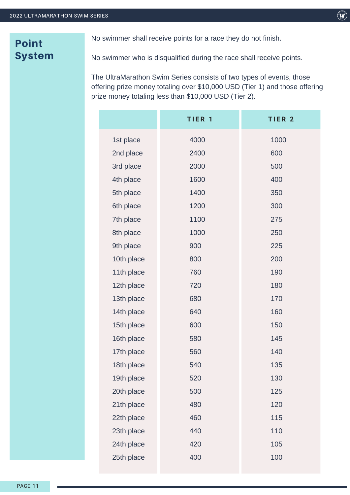### Point System

No swimmer shall receive points for a race they do not finish.

No swimmer who is disqualified during the race shall receive points.

The UltraMarathon Swim Series consists of two types of events, those offering prize money totaling over \$10,000 USD (Tier 1) and those offering prize money totaling less than \$10,000 USD (Tier 2).

|            | TIER <sub>1</sub> | TIER <sub>2</sub> |
|------------|-------------------|-------------------|
| 1st place  | 4000              | 1000              |
| 2nd place  | 2400              | 600               |
| 3rd place  | 2000              | 500               |
| 4th place  | 1600              | 400               |
| 5th place  | 1400              | 350               |
| 6th place  | 1200              | 300               |
| 7th place  | 1100              | 275               |
| 8th place  | 1000              | 250               |
| 9th place  | 900               | 225               |
| 10th place | 800               | 200               |
| 11th place | 760               | 190               |
| 12th place | 720               | 180               |
| 13th place | 680               | 170               |
| 14th place | 640               | 160               |
| 15th place | 600               | 150               |
| 16th place | 580               | 145               |
| 17th place | 560               | 140               |
| 18th place | 540               | 135               |
| 19th place | 520               | 130               |
| 20th place | 500               | 125               |
| 21th place | 480               | 120               |
| 22th place | 460               | 115               |
| 23th place | 440               | 110               |
| 24th place | 420               | 105               |
| 25th place | 400               | 100               |
|            |                   |                   |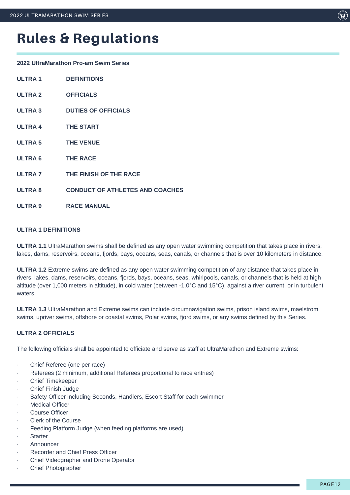**2022 UltraMarathon Pro-am Swim Series**

| <b>ULTRA1</b>  | <b>DEFINITIONS</b>                     |
|----------------|----------------------------------------|
| ULTRA 2        | <b>OFFICIALS</b>                       |
| <b>ULTRA 3</b> | <b>DUTIES OF OFFICIALS</b>             |
| <b>ULTRA 4</b> | <b>THE START</b>                       |
| <b>ULTRA 5</b> | <b>THE VENUE</b>                       |
| <b>ULTRA 6</b> | <b>THE RACE</b>                        |
| <b>ULTRA 7</b> | THE FINISH OF THE RACE                 |
| <b>ULTRA 8</b> | <b>CONDUCT OF ATHLETES AND COACHES</b> |
| <b>ULTRA 9</b> | <b>RACE MANUAL</b>                     |
|                |                                        |

#### **ULTRA 1 DEFINITIONS**

**ULTRA 1.1** UltraMarathon swims shall be defined as any open water swimming competition that takes place in rivers, lakes, dams, reservoirs, oceans, fjords, bays, oceans, seas, canals, or channels that is over 10 kilometers in distance.

**ULTRA 1.2** Extreme swims are defined as any open water swimming competition of any distance that takes place in rivers, lakes, dams, reservoirs, oceans, fjords, bays, oceans, seas, whirlpools, canals, or channels that is held at high altitude (over 1,000 meters in altitude), in cold water (between -1.0°C and 15°C), against a river current, or in turbulent waters.

**ULTRA 1.3** UltraMarathon and Extreme swims can include circumnavigation swims, prison island swims, maelstrom swims, upriver swims, offshore or coastal swims, Polar swims, fjord swims, or any swims defined by this Series.

#### **ULTRA 2 OFFICIALS**

The following officials shall be appointed to officiate and serve as staff at UltraMarathon and Extreme swims:

- Chief Referee (one per race)
- Referees (2 minimum, additional Referees proportional to race entries)
- · Chief Timekeeper
- · Chief Finish Judge
- Safety Officer including Seconds, Handlers, Escort Staff for each swimmer
- **Medical Officer**
- Course Officer
- Clerk of the Course
- Feeding Platform Judge (when feeding platforms are used)
- **Starter**
- **Announcer**
- Recorder and Chief Press Officer
- · Chief Videographer and Drone Operator
- · Chief Photographer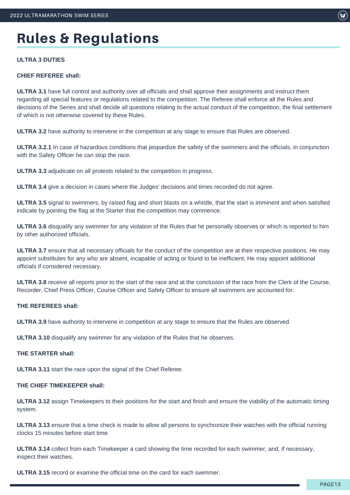#### **ULTRA 3 DUTIES**

#### **CHIEF REFEREE shall:**

**ULTRA 3.1** have full control and authority over all officials and shall approve their assignments and instruct them regarding all special features or regulations related to the competition. The Referee shall enforce all the Rules and decisions of the Series and shall decide all questions relating to the actual conduct of the competition, the final settlement of which is not otherwise covered by these Rules.

**ULTRA 3.2** have authority to intervene in the competition at any stage to ensure that Rules are observed.

**ULTRA 3.2.1** In case of hazardous conditions that jeopardize the safety of the swimmers and the officials, in conjunction with the Safety Officer he can stop the race.

**ULTRA 3.3** adjudicate on all protests related to the competition in progress.

**ULTRA 3.4** give a decision in cases where the Judges' decisions and times recorded do not agree.

**ULTRA 3.5** signal to swimmers, by raised flag and short blasts on a whistle, that the start is imminent and when satisfied indicate by pointing the flag at the Starter that the competition may commence.

**ULTRA 3.6** disqualify any swimmer for any violation of the Rules that he personally observes or which is reported to him by other authorized officials.

**ULTRA 3.7** ensure that all necessary officials for the conduct of the competition are at their respective positions. He may appoint substitutes for any who are absent, incapable of acting or found to be inefficient. He may appoint additional officials if considered necessary.

**ULTRA 3.8** receive all reports prior to the start of the race and at the conclusion of the race from the Clerk of the Course, Recorder, Chief Press Officer, Course Officer and Safety Officer to ensure all swimmers are accounted for.

#### **THE REFEREES shall:**

**ULTRA 3.9** have authority to intervene in competition at any stage to ensure that the Rules are observed.

**ULTRA 3.10** disqualify any swimmer for any violation of the Rules that he observes.

#### **THE STARTER shall:**

**ULTRA 3.11** start the race upon the signal of the Chief Referee.

#### **THE CHIEF TIMEKEEPER shall:**

**ULTRA 3.12** assign Timekeepers to their positions for the start and finish and ensure the viability of the automatic timing system.

**ULTRA 3.13** ensure that a time check is made to allow all persons to synchronize their watches with the official running clocks 15 minutes before start time.

**ULTRA 3.14** collect from each Timekeeper a card showing the time recorded for each swimmer, and, if necessary, inspect their watches.

**ULTRA 3.15** record or examine the official time on the card for each swimmer.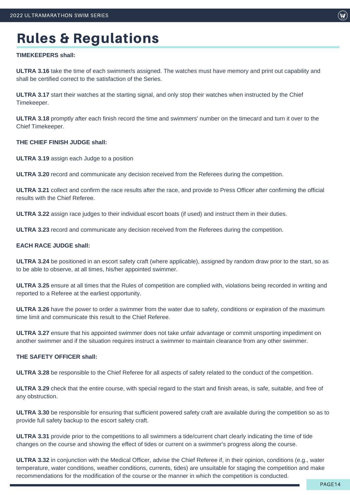#### **TIMEKEEPERS shall:**

**ULTRA 3.16** take the time of each swimmer/s assigned. The watches must have memory and print out capability and shall be certified correct to the satisfaction of the Series.

**ULTRA 3.17** start their watches at the starting signal, and only stop their watches when instructed by the Chief Timekeeper.

**ULTRA 3.18** promptly after each finish record the time and swimmers' number on the timecard and turn it over to the Chief Timekeeper.

#### **THE CHIEF FINISH JUDGE shall:**

**ULTRA 3.19** assign each Judge to a position

**ULTRA 3.20** record and communicate any decision received from the Referees during the competition.

**ULTRA 3.21** collect and confirm the race results after the race, and provide to Press Officer after confirming the official results with the Chief Referee.

**ULTRA 3.22** assign race judges to their individual escort boats (if used) and instruct them in their duties.

**ULTRA 3.23** record and communicate any decision received from the Referees during the competition.

#### **EACH RACE JUDGE shall:**

**ULTRA 3.24** be positioned in an escort safety craft (where applicable), assigned by random draw prior to the start, so as to be able to observe, at all times, his/her appointed swimmer.

**ULTRA 3.25** ensure at all times that the Rules of competition are complied with, violations being recorded in writing and reported to a Referee at the earliest opportunity.

**ULTRA 3.26** have the power to order a swimmer from the water due to safety, conditions or expiration of the maximum time limit and communicate this result to the Chief Referee.

**ULTRA 3.27** ensure that his appointed swimmer does not take unfair advantage or commit unsporting impediment on another swimmer and if the situation requires instruct a swimmer to maintain clearance from any other swimmer.

#### **THE SAFETY OFFICER shall:**

**ULTRA 3.28** be responsible to the Chief Referee for all aspects of safety related to the conduct of the competition.

**ULTRA 3.29** check that the entire course, with special regard to the start and finish areas, is safe, suitable, and free of any obstruction.

**ULTRA 3.30** be responsible for ensuring that sufficient powered safety craft are available during the competition so as to provide full safety backup to the escort safety craft.

**ULTRA 3.31** provide prior to the competitions to all swimmers a tide/current chart clearly indicating the time of tide changes on the course and showing the effect of tides or current on a swimmer's progress along the course.

**ULTRA 3.32** in conjunction with the Medical Officer, advise the Chief Referee if, in their opinion, conditions (e.g., water temperature, water conditions, weather conditions, currents, tides) are unsuitable for staging the competition and make recommendations for the modification of the course or the manner in which the competition is conducted.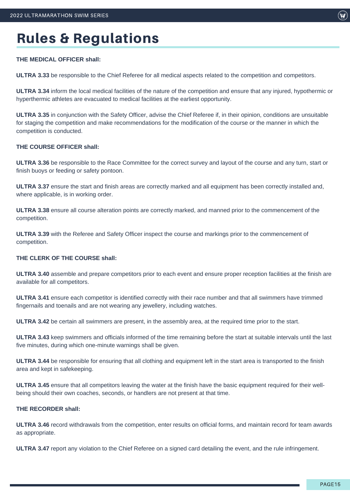#### **THE MEDICAL OFFICER shall:**

**ULTRA 3.33** be responsible to the Chief Referee for all medical aspects related to the competition and competitors.

**ULTRA 3.34** inform the local medical facilities of the nature of the competition and ensure that any injured, hypothermic or hyperthermic athletes are evacuated to medical facilities at the earliest opportunity.

**ULTRA 3.35** in conjunction with the Safety Officer, advise the Chief Referee if, in their opinion, conditions are unsuitable for staging the competition and make recommendations for the modification of the course or the manner in which the competition is conducted.

#### **THE COURSE OFFICER shall:**

**ULTRA 3.36** be responsible to the Race Committee for the correct survey and layout of the course and any turn, start or finish buoys or feeding or safety pontoon.

**ULTRA 3.37** ensure the start and finish areas are correctly marked and all equipment has been correctly installed and, where applicable, is in working order.

**ULTRA 3.38** ensure all course alteration points are correctly marked, and manned prior to the commencement of the competition.

**ULTRA 3.39** with the Referee and Safety Officer inspect the course and markings prior to the commencement of competition.

#### **THE CLERK OF THE COURSE shall:**

**ULTRA 3.40** assemble and prepare competitors prior to each event and ensure proper reception facilities at the finish are available for all competitors.

**ULTRA 3.41** ensure each competitor is identified correctly with their race number and that all swimmers have trimmed fingernails and toenails and are not wearing any jewellery, including watches.

**ULTRA 3.42** be certain all swimmers are present, in the assembly area, at the required time prior to the start.

**ULTRA 3.43** keep swimmers and officials informed of the time remaining before the start at suitable intervals until the last five minutes, during which one-minute warnings shall be given.

**ULTRA 3.44** be responsible for ensuring that all clothing and equipment left in the start area is transported to the finish area and kept in safekeeping.

**ULTRA 3.45** ensure that all competitors leaving the water at the finish have the basic equipment required for their wellbeing should their own coaches, seconds, or handlers are not present at that time.

#### **THE RECORDER shall:**

**ULTRA 3.46** record withdrawals from the competition, enter results on official forms, and maintain record for team awards as appropriate.

**ULTRA 3.47** report any violation to the Chief Referee on a signed card detailing the event, and the rule infringement.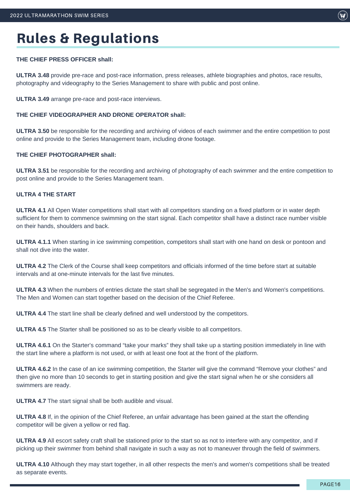#### **THE CHIEF PRESS OFFICER shall:**

**ULTRA 3.48** provide pre-race and post-race information, press releases, athlete biographies and photos, race results, photography and videography to the Series Management to share with public and post online.

**ULTRA 3.49** arrange pre-race and post-race interviews.

#### **THE CHIEF VIDEOGRAPHER AND DRONE OPERATOR shall:**

**ULTRA 3.50** be responsible for the recording and archiving of videos of each swimmer and the entire competition to post online and provide to the Series Management team, including drone footage.

#### **THE CHIEF PHOTOGRAPHER shall:**

**ULTRA 3.51** be responsible for the recording and archiving of photography of each swimmer and the entire competition to post online and provide to the Series Management team.

#### **ULTRA 4 THE START**

**ULTRA 4.1** All Open Water competitions shall start with all competitors standing on a fixed platform or in water depth sufficient for them to commence swimming on the start signal. Each competitor shall have a distinct race number visible on their hands, shoulders and back.

**ULTRA 4.1.1** When starting in ice swimming competition, competitors shall start with one hand on desk or pontoon and shall not dive into the water.

**ULTRA 4.2** The Clerk of the Course shall keep competitors and officials informed of the time before start at suitable intervals and at one-minute intervals for the last five minutes.

**ULTRA 4.3** When the numbers of entries dictate the start shall be segregated in the Men's and Women's competitions. The Men and Women can start together based on the decision of the Chief Referee.

**ULTRA 4.4** The start line shall be clearly defined and well understood by the competitors.

**ULTRA 4.5** The Starter shall be positioned so as to be clearly visible to all competitors.

**ULTRA 4.6.1** On the Starter's command "take your marks" they shall take up a starting position immediately in line with the start line where a platform is not used, or with at least one foot at the front of the platform.

**ULTRA 4.6.2** In the case of an ice swimming competition, the Starter will give the command "Remove your clothes" and then give no more than 10 seconds to get in starting position and give the start signal when he or she considers all swimmers are ready.

**ULTRA 4.7** The start signal shall be both audible and visual.

**ULTRA 4.8** If, in the opinion of the Chief Referee, an unfair advantage has been gained at the start the offending competitor will be given a yellow or red flag.

**ULTRA 4.9** All escort safety craft shall be stationed prior to the start so as not to interfere with any competitor, and if picking up their swimmer from behind shall navigate in such a way as not to maneuver through the field of swimmers.

**ULTRA 4.10** Although they may start together, in all other respects the men's and women's competitions shall be treated as separate events.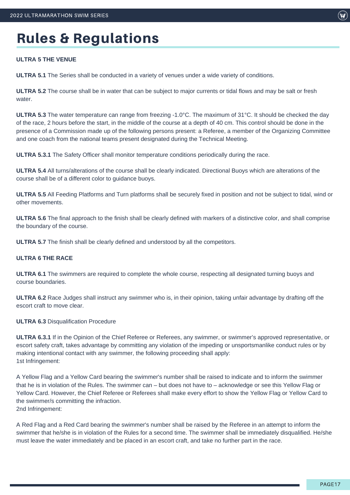#### **ULTRA 5 THE VENUE**

**ULTRA 5.1** The Series shall be conducted in a variety of venues under a wide variety of conditions.

**ULTRA 5.2** The course shall be in water that can be subject to major currents or tidal flows and may be salt or fresh water.

**ULTRA 5.3** The water temperature can range from freezing -1.0°C. The maximum of 31°C. It should be checked the day of the race, 2 hours before the start, in the middle of the course at a depth of 40 cm. This control should be done in the presence of a Commission made up of the following persons present: a Referee, a member of the Organizing Committee and one coach from the national teams present designated during the Technical Meeting.

**ULTRA 5.3.1** The Safety Officer shall monitor temperature conditions periodically during the race.

**ULTRA 5.4** All turns/alterations of the course shall be clearly indicated. Directional Buoys which are alterations of the course shall be of a different color to guidance buoys.

**ULTRA 5.5** All Feeding Platforms and Turn platforms shall be securely fixed in position and not be subject to tidal, wind or other movements.

**ULTRA 5.6** The final approach to the finish shall be clearly defined with markers of a distinctive color, and shall comprise the boundary of the course.

**ULTRA 5.7** The finish shall be clearly defined and understood by all the competitors.

#### **ULTRA 6 THE RACE**

**ULTRA 6.1** The swimmers are required to complete the whole course, respecting all designated turning buoys and course boundaries.

**ULTRA 6.2** Race Judges shall instruct any swimmer who is, in their opinion, taking unfair advantage by drafting off the escort craft to move clear.

**ULTRA 6.3** Disqualification Procedure

**ULTRA 6.3.1** If in the Opinion of the Chief Referee or Referees, any swimmer, or swimmer's approved representative, or escort safety craft, takes advantage by committing any violation of the impeding or unsportsmanlike conduct rules or by making intentional contact with any swimmer, the following proceeding shall apply: 1st Infringement:

A Yellow Flag and a Yellow Card bearing the swimmer's number shall be raised to indicate and to inform the swimmer that he is in violation of the Rules. The swimmer can – but does not have to – acknowledge or see this Yellow Flag or Yellow Card. However, the Chief Referee or Referees shall make every effort to show the Yellow Flag or Yellow Card to the swimmer/s committing the infraction. 2nd Infringement:

A Red Flag and a Red Card bearing the swimmer's number shall be raised by the Referee in an attempt to inform the swimmer that he/she is in violation of the Rules for a second time. The swimmer shall be immediately disqualified. He/she must leave the water immediately and be placed in an escort craft, and take no further part in the race.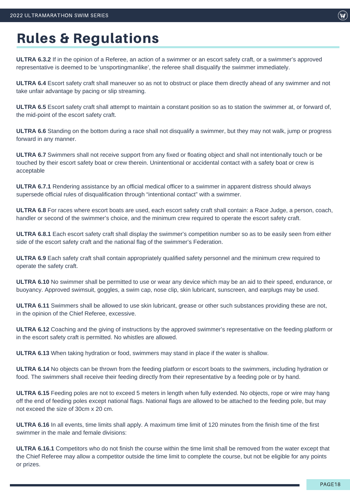**ULTRA 6.3.2** If in the opinion of a Referee, an action of a swimmer or an escort safety craft, or a swimmer's approved representative is deemed to be 'unsportingmanlike', the referee shall disqualify the swimmer immediately.

**ULTRA 6.4** Escort safety craft shall maneuver so as not to obstruct or place them directly ahead of any swimmer and not take unfair advantage by pacing or slip streaming.

**ULTRA 6.5** Escort safety craft shall attempt to maintain a constant position so as to station the swimmer at, or forward of, the mid-point of the escort safety craft.

**ULTRA 6.6** Standing on the bottom during a race shall not disqualify a swimmer, but they may not walk, jump or progress forward in any manner.

**ULTRA 6.7** Swimmers shall not receive support from any fixed or floating object and shall not intentionally touch or be touched by their escort safety boat or crew therein. Unintentional or accidental contact with a safety boat or crew is acceptable

**ULTRA 6.7.1** Rendering assistance by an official medical officer to a swimmer in apparent distress should always supersede official rules of disqualification through "intentional contact" with a swimmer.

**ULTRA 6.8** For races where escort boats are used, each escort safety craft shall contain: a Race Judge, a person, coach, handler or second of the swimmer's choice, and the minimum crew required to operate the escort safety craft.

**ULTRA 6.8.1** Each escort safety craft shall display the swimmer's competition number so as to be easily seen from either side of the escort safety craft and the national flag of the swimmer's Federation.

**ULTRA 6.9** Each safety craft shall contain appropriately qualified safety personnel and the minimum crew required to operate the safety craft.

**ULTRA 6.10** No swimmer shall be permitted to use or wear any device which may be an aid to their speed, endurance, or buoyancy. Approved swimsuit, goggles, a swim cap, nose clip, skin lubricant, sunscreen, and earplugs may be used.

**ULTRA 6.11** Swimmers shall be allowed to use skin lubricant, grease or other such substances providing these are not, in the opinion of the Chief Referee, excessive.

**ULTRA 6.12** Coaching and the giving of instructions by the approved swimmer's representative on the feeding platform or in the escort safety craft is permitted. No whistles are allowed.

**ULTRA 6.13** When taking hydration or food, swimmers may stand in place if the water is shallow.

**ULTRA 6.14** No objects can be thrown from the feeding platform or escort boats to the swimmers, including hydration or food. The swimmers shall receive their feeding directly from their representative by a feeding pole or by hand.

**ULTRA 6.15** Feeding poles are not to exceed 5 meters in length when fully extended. No objects, rope or wire may hang off the end of feeding poles except national flags. National flags are allowed to be attached to the feeding pole, but may not exceed the size of 30cm x 20 cm.

**ULTRA 6.16** In all events, time limits shall apply. A maximum time limit of 120 minutes from the finish time of the first swimmer in the male and female divisions:

**ULTRA 6.16.1** Competitors who do not finish the course within the time limit shall be removed from the water except that the Chief Referee may allow a competitor outside the time limit to complete the course, but not be eligible for any points or prizes.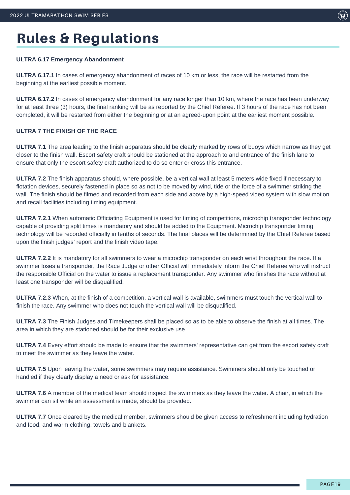#### **ULTRA 6.17 Emergency Abandonment**

**ULTRA 6.17.1** In cases of emergency abandonment of races of 10 km or less, the race will be restarted from the beginning at the earliest possible moment.

**ULTRA 6.17.2** In cases of emergency abandonment for any race longer than 10 km, where the race has been underway for at least three (3) hours, the final ranking will be as reported by the Chief Referee. If 3 hours of the race has not been completed, it will be restarted from either the beginning or at an agreed-upon point at the earliest moment possible.

#### **ULTRA 7 THE FINISH OF THE RACE**

**ULTRA 7.1** The area leading to the finish apparatus should be clearly marked by rows of buoys which narrow as they get closer to the finish wall. Escort safety craft should be stationed at the approach to and entrance of the finish lane to ensure that only the escort safety craft authorized to do so enter or cross this entrance.

**ULTRA 7.2** The finish apparatus should, where possible, be a vertical wall at least 5 meters wide fixed if necessary to flotation devices, securely fastened in place so as not to be moved by wind, tide or the force of a swimmer striking the wall. The finish should be filmed and recorded from each side and above by a high-speed video system with slow motion and recall facilities including timing equipment.

**ULTRA 7.2.1** When automatic Officiating Equipment is used for timing of competitions, microchip transponder technology capable of providing split times is mandatory and should be added to the Equipment. Microchip transponder timing technology will be recorded officially in tenths of seconds. The final places will be determined by the Chief Referee based upon the finish judges' report and the finish video tape.

**ULTRA 7.2.2** It is mandatory for all swimmers to wear a microchip transponder on each wrist throughout the race. If a swimmer loses a transponder, the Race Judge or other Official will immediately inform the Chief Referee who will instruct the responsible Official on the water to issue a replacement transponder. Any swimmer who finishes the race without at least one transponder will be disqualified.

**ULTRA 7.2.3** When, at the finish of a competition, a vertical wall is available, swimmers must touch the vertical wall to finish the race. Any swimmer who does not touch the vertical wall will be disqualified.

**ULTRA 7.3** The Finish Judges and Timekeepers shall be placed so as to be able to observe the finish at all times. The area in which they are stationed should be for their exclusive use.

**ULTRA 7.4** Every effort should be made to ensure that the swimmers' representative can get from the escort safety craft to meet the swimmer as they leave the water.

**ULTRA 7.5** Upon leaving the water, some swimmers may require assistance. Swimmers should only be touched or handled if they clearly display a need or ask for assistance.

**ULTRA 7.6** A member of the medical team should inspect the swimmers as they leave the water. A chair, in which the swimmer can sit while an assessment is made, should be provided.

**ULTRA 7.7** Once cleared by the medical member, swimmers should be given access to refreshment including hydration and food, and warm clothing, towels and blankets.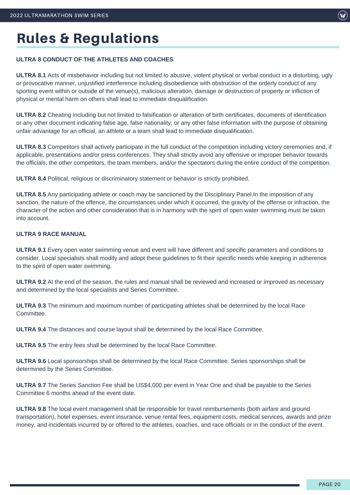#### **ULTRA 8 CONDUCT OF THE ATHLETES AND COACHES**

**ULTRA 8.1** Acts of misbehavior including but not limited to abusive, violent physical or verbal conduct in a disturbing, ugly or provocative manner, unjustified interference including disobedience with obstruction of the orderly conduct of any sporting event within or outside of the venue(s), malicious alteration, damage or destruction of property or infliction of physical or mental harm on others shall lead to immediate disqualification.

**ULTRA 8.2** Cheating including but not limited to falsification or alteration of birth certificates, documents of identification or any other document indicating false age, false nationality, or any other false information with the purpose of obtaining unfair advantage for an official, an athlete or a team shall lead to immediate disqualification.

**ULTRA 8.3** Competitors shall actively participate in the full conduct of the competition including victory ceremonies and, if applicable, presentations and/or press conferences. They shall strictly avoid any offensive or improper behavior towards the officials, the other competitors, the team members, and/or the spectators during the entire conduct of the competition.

**ULTRA 8.4** Political, religious or discriminatory statement or behavior is strictly prohibited.

**ULTRA 8.5** Any participating athlete or coach may be sanctioned by the Disciplinary Panel.In the imposition of any sanction, the nature of the offence, the circumstances under which it occurred, the gravity of the offense or infraction, the character of the action and other consideration that is in harmony with the spirit of open water swimming must be taken into account.

#### **ULTRA 9 RACE MANUAL**

**ULTRA 9.1** Every open water swimming venue and event will have different and specific parameters and conditions to consider. Local specialists shall modify and adopt these guidelines to fit their specific needs while keeping in adherence to the spirit of open water swimming.

**ULTRA 9.2** At the end of the season, the rules and manual shall be reviewed and increased or improved as necessary and determined by the local specialists and Series Committee.

**ULTRA 9.3** The minimum and maximum number of participating athletes shall be determined by the local Race Committee.

**ULTRA 9.4** The distances and course layout shall be determined by the local Race Committee.

**ULTRA 9.5** The entry fees shall be determined by the local Race Committee.

**ULTRA 9.6** Local sponsorships shall be determined by the local Race Committee. Series sponsorships shall be determined by the Series Committee.

**ULTRA 9.7** The Series Sanction Fee shall be US\$4,000 per event in Year One and shall be payable to the Series Committee 6 months ahead of the event date.

**ULTRA 9.8** The local event management shall be responsible for travel reimbursements (both airfare and ground transportation), hotel expenses, event insurance, venue rental fees, equipment costs, medical services, awards and prize money, and incidentals incurred by or offered to the athletes, coaches, and race officials or in the conduct of the event.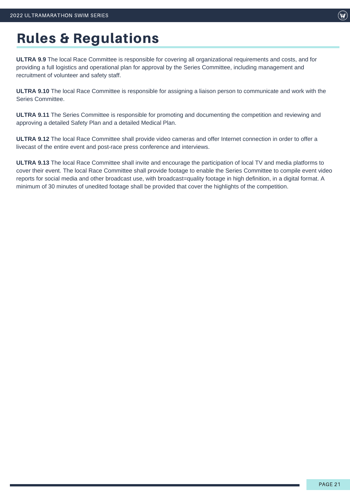**ULTRA 9.9** The local Race Committee is responsible for covering all organizational requirements and costs, and for providing a full logistics and operational plan for approval by the Series Committee, including management and recruitment of volunteer and safety staff.

**ULTRA 9.10** The local Race Committee is responsible for assigning a liaison person to communicate and work with the Series Committee.

**ULTRA 9.11** The Series Committee is responsible for promoting and documenting the competition and reviewing and approving a detailed Safety Plan and a detailed Medical Plan.

**ULTRA 9.12** The local Race Committee shall provide video cameras and offer Internet connection in order to offer a livecast of the entire event and post-race press conference and interviews.

**ULTRA 9.13** The local Race Committee shall invite and encourage the participation of local TV and media platforms to cover their event. The local Race Committee shall provide footage to enable the Series Committee to compile event video reports for social media and other broadcast use, with broadcast=quality footage in high definition, in a digital format. A minimum of 30 minutes of unedited footage shall be provided that cover the highlights of the competition.